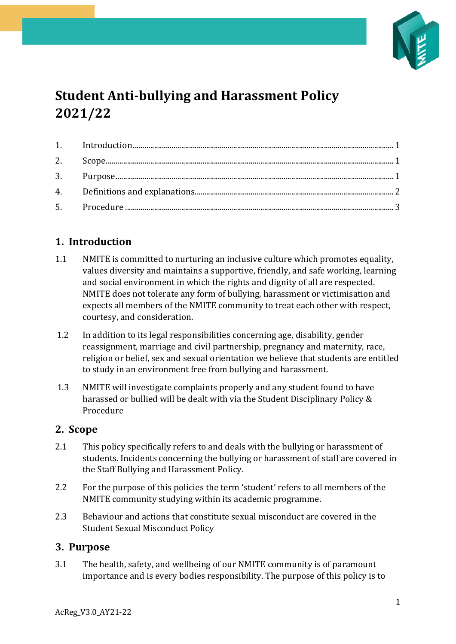

# **Student Anti-bullying and Harassment Policy 2021/22**

## <span id="page-0-0"></span>**1. Introduction**

- 1.1 NMITE is committed to nurturing an inclusive culture which promotes equality, values diversity and maintains a supportive, friendly, and safe working, learning and social environment in which the rights and dignity of all are respected. NMITE does not tolerate any form of bullying, harassment or victimisation and expects all members of the NMITE community to treat each other with respect, courtesy, and consideration.
- 1.2 In addition to its legal responsibilities concerning age, disability, gender reassignment, marriage and civil partnership, pregnancy and maternity, race, religion or belief, sex and sexual orientation we believe that students are entitled to study in an environment free from bullying and harassment.
- 1.3 NMITE will investigate complaints properly and any student found to have harassed or bullied will be dealt with via the Student Disciplinary Policy & Procedure

#### <span id="page-0-1"></span>**2. Scope**

- 2.1 This policy specifically refers to and deals with the bullying or harassment of students. Incidents concerning the bullying or harassment of staff are covered in the Staff Bullying and Harassment Policy.
- 2.2 For the purpose of this policies the term 'student' refers to all members of the NMITE community studying within its academic programme.
- 2.3 Behaviour and actions that constitute sexual misconduct are covered in the Student Sexual Misconduct Policy

#### <span id="page-0-2"></span>**3. Purpose**

3.1 The health, safety, and wellbeing of our NMITE community is of paramount importance and is every bodies responsibility. The purpose of this policy is to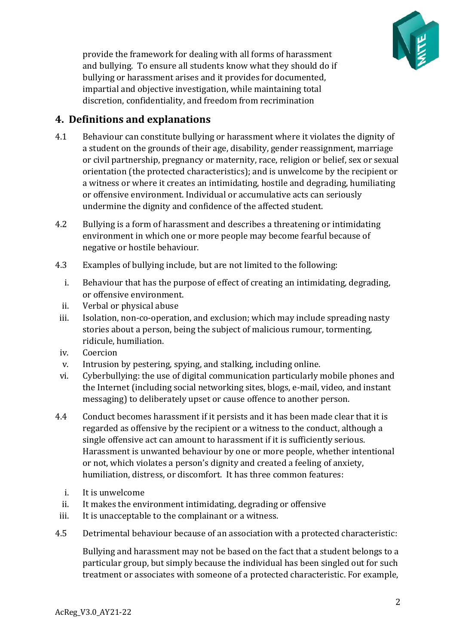

provide the framework for dealing with all forms of harassment and bullying. To ensure all students know what they should do if bullying or harassment arises and it provides for documented, impartial and objective investigation, while maintaining total discretion, confidentiality, and freedom from recrimination

### <span id="page-1-0"></span>**4. Definitions and explanations**

- 4.1 Behaviour can constitute bullying or harassment where it violates the dignity of a student on the grounds of their age, disability, gender reassignment, marriage or civil partnership, pregnancy or maternity, race, religion or belief, sex or sexual orientation (the protected characteristics); and is unwelcome by the recipient or a witness or where it creates an intimidating, hostile and degrading, humiliating or offensive environment. Individual or accumulative acts can seriously undermine the dignity and confidence of the affected student.
- 4.2 Bullying is a form of harassment and describes a threatening or intimidating environment in which one or more people may become fearful because of negative or hostile behaviour.
- 4.3 Examples of bullying include, but are not limited to the following:
	- i. Behaviour that has the purpose of effect of creating an intimidating, degrading, or offensive environment.
	- ii. Verbal or physical abuse
	- iii. Isolation, non-co-operation, and exclusion; which may include spreading nasty stories about a person, being the subject of malicious rumour, tormenting, ridicule, humiliation.
	- iv. Coercion
	- v. Intrusion by pestering, spying, and stalking, including online.
	- vi. Cyberbullying: the use of digital communication particularly mobile phones and the Internet (including social networking sites, blogs, e-mail, video, and instant messaging) to deliberately upset or cause offence to another person.
- 4.4 Conduct becomes harassment if it persists and it has been made clear that it is regarded as offensive by the recipient or a witness to the conduct, although a single offensive act can amount to harassment if it is sufficiently serious. Harassment is unwanted behaviour by one or more people, whether intentional or not, which violates a person's dignity and created a feeling of anxiety, humiliation, distress, or discomfort. It has three common features:
	- i. It is unwelcome
	- ii. It makes the environment intimidating, degrading or offensive
- iii. It is unacceptable to the complainant or a witness.
- 4.5 Detrimental behaviour because of an association with a protected characteristic:

Bullying and harassment may not be based on the fact that a student belongs to a particular group, but simply because the individual has been singled out for such treatment or associates with someone of a protected characteristic. For example,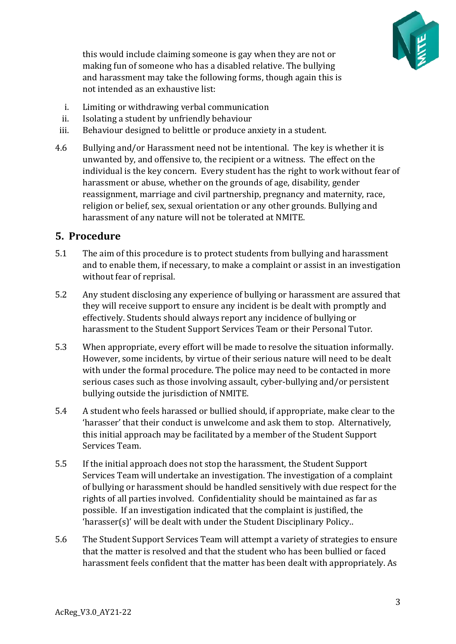

this would include claiming someone is gay when they are not or making fun of someone who has a disabled relative. The bullying and harassment may take the following forms, though again this is not intended as an exhaustive list:

- i. Limiting or withdrawing verbal communication
- ii. Isolating a student by unfriendly behaviour
- iii. Behaviour designed to belittle or produce anxiety in a student.
- 4.6 Bullying and/or Harassment need not be intentional. The key is whether it is unwanted by, and offensive to, the recipient or a witness. The effect on the individual is the key concern. Every student has the right to work without fear of harassment or abuse, whether on the grounds of age, disability, gender reassignment, marriage and civil partnership, pregnancy and maternity, race, religion or belief, sex, sexual orientation or any other grounds. Bullying and harassment of any nature will not be tolerated at NMITE.

#### <span id="page-2-0"></span>**5. Procedure**

- 5.1 The aim of this procedure is to protect students from bullying and harassment and to enable them, if necessary, to make a complaint or assist in an investigation without fear of reprisal.
- 5.2 Any student disclosing any experience of bullying or harassment are assured that they will receive support to ensure any incident is be dealt with promptly and effectively. Students should always report any incidence of bullying or harassment to the Student Support Services Team or their Personal Tutor.
- 5.3 When appropriate, every effort will be made to resolve the situation informally. However, some incidents, by virtue of their serious nature will need to be dealt with under the formal procedure. The police may need to be contacted in more serious cases such as those involving assault, cyber-bullying and/or persistent bullying outside the jurisdiction of NMITE.
- 5.4 A student who feels harassed or bullied should, if appropriate, make clear to the 'harasser' that their conduct is unwelcome and ask them to stop. Alternatively, this initial approach may be facilitated by a member of the Student Support Services Team.
- 5.5 If the initial approach does not stop the harassment, the Student Support Services Team will undertake an investigation. The investigation of a complaint of bullying or harassment should be handled sensitively with due respect for the rights of all parties involved. Confidentiality should be maintained as far as possible. If an investigation indicated that the complaint is justified, the 'harasser(s)' will be dealt with under the Student Disciplinary Policy..
- 5.6 The Student Support Services Team will attempt a variety of strategies to ensure that the matter is resolved and that the student who has been bullied or faced harassment feels confident that the matter has been dealt with appropriately. As